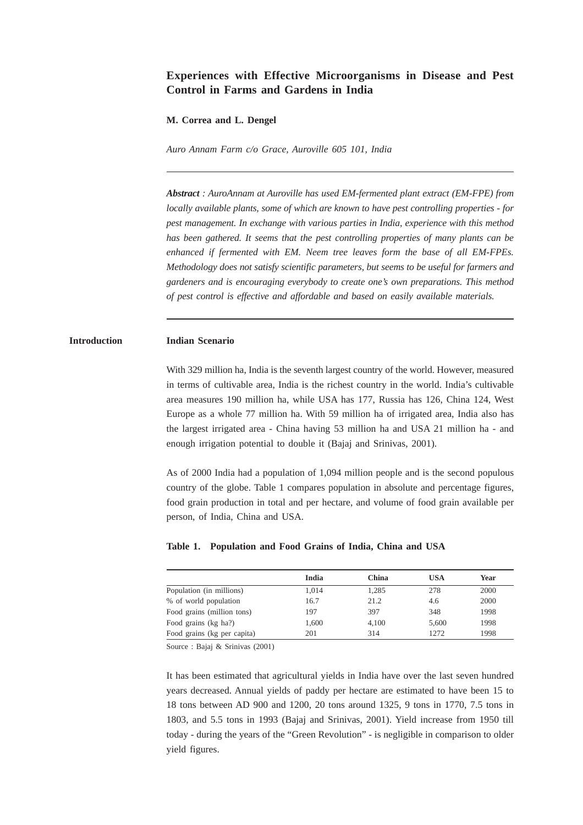# **Experiences with Effective Microorganisms in Disease and Pest Control in Farms and Gardens in India**

#### **M. Correa and L. Dengel**

*Auro Annam Farm c/o Grace, Auroville 605 101, India*

*Abstract : AuroAnnam at Auroville has used EM-fermented plant extract (EM-FPE) from locally available plants, some of which are known to have pest controlling properties - for pest management. In exchange with various parties in India, experience with this method has been gathered. It seems that the pest controlling properties of many plants can be enhanced if fermented with EM. Neem tree leaves form the base of all EM-FPEs. Methodology does not satisfy scientific parameters, but seems to be useful for farmers and gardeners and is encouraging everybody to create one's own preparations. This method of pest control is effective and affordable and based on easily available materials.*

### **Introduction Indian Scenario**

With 329 million ha, India is the seventh largest country of the world. However, measured in terms of cultivable area, India is the richest country in the world. India's cultivable area measures 190 million ha, while USA has 177, Russia has 126, China 124, West Europe as a whole 77 million ha. With 59 million ha of irrigated area, India also has the largest irrigated area - China having 53 million ha and USA 21 million ha - and enough irrigation potential to double it (Bajaj and Srinivas, 2001).

As of 2000 India had a population of 1,094 million people and is the second populous country of the globe. Table 1 compares population in absolute and percentage figures, food grain production in total and per hectare, and volume of food grain available per person, of India, China and USA.

#### **Table 1. Population and Food Grains of India, China and USA**

|                             | India | <b>China</b> | USA   | Year |
|-----------------------------|-------|--------------|-------|------|
| Population (in millions)    | 1.014 | 1.285        | 278   | 2000 |
| % of world population       | 16.7  | 21.2         | 4.6   | 2000 |
| Food grains (million tons)  | 197   | 397          | 348   | 1998 |
| Food grains (kg ha?)        | 1.600 | 4.100        | 5.600 | 1998 |
| Food grains (kg per capita) | 201   | 314          | 12.72 | 1998 |

Source : Bajaj & Srinivas (2001)

It has been estimated that agricultural yields in India have over the last seven hundred years decreased. Annual yields of paddy per hectare are estimated to have been 15 to 18 tons between AD 900 and 1200, 20 tons around 1325, 9 tons in 1770, 7.5 tons in 1803, and 5.5 tons in 1993 (Bajaj and Srinivas, 2001). Yield increase from 1950 till today - during the years of the "Green Revolution" - is negligible in comparison to older yield figures.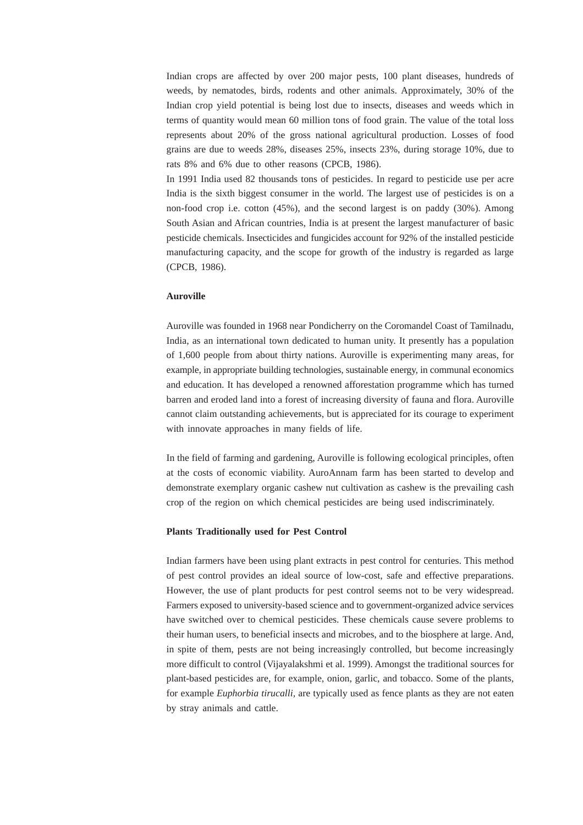Indian crops are affected by over 200 major pests, 100 plant diseases, hundreds of weeds, by nematodes, birds, rodents and other animals. Approximately, 30% of the Indian crop yield potential is being lost due to insects, diseases and weeds which in terms of quantity would mean 60 million tons of food grain. The value of the total loss represents about 20% of the gross national agricultural production. Losses of food grains are due to weeds 28%, diseases 25%, insects 23%, during storage 10%, due to rats 8% and 6% due to other reasons (CPCB, 1986).

In 1991 India used 82 thousands tons of pesticides. In regard to pesticide use per acre India is the sixth biggest consumer in the world. The largest use of pesticides is on a non-food crop i.e. cotton (45%), and the second largest is on paddy (30%). Among South Asian and African countries, India is at present the largest manufacturer of basic pesticide chemicals. Insecticides and fungicides account for 92% of the installed pesticide manufacturing capacity, and the scope for growth of the industry is regarded as large (CPCB, 1986).

#### **Auroville**

Auroville was founded in 1968 near Pondicherry on the Coromandel Coast of Tamilnadu, India, as an international town dedicated to human unity. It presently has a population of 1,600 people from about thirty nations. Auroville is experimenting many areas, for example, in appropriate building technologies, sustainable energy, in communal economics and education. It has developed a renowned afforestation programme which has turned barren and eroded land into a forest of increasing diversity of fauna and flora. Auroville cannot claim outstanding achievements, but is appreciated for its courage to experiment with innovate approaches in many fields of life.

In the field of farming and gardening, Auroville is following ecological principles, often at the costs of economic viability. AuroAnnam farm has been started to develop and demonstrate exemplary organic cashew nut cultivation as cashew is the prevailing cash crop of the region on which chemical pesticides are being used indiscriminately.

### **Plants Traditionally used for Pest Control**

Indian farmers have been using plant extracts in pest control for centuries. This method of pest control provides an ideal source of low-cost, safe and effective preparations. However, the use of plant products for pest control seems not to be very widespread. Farmers exposed to university-based science and to government-organized advice services have switched over to chemical pesticides. These chemicals cause severe problems to their human users, to beneficial insects and microbes, and to the biosphere at large. And, in spite of them, pests are not being increasingly controlled, but become increasingly more difficult to control (Vijayalakshmi et al. 1999). Amongst the traditional sources for plant-based pesticides are, for example, onion, garlic, and tobacco. Some of the plants, for example *Euphorbia tirucalli,* are typically used as fence plants as they are not eaten by stray animals and cattle.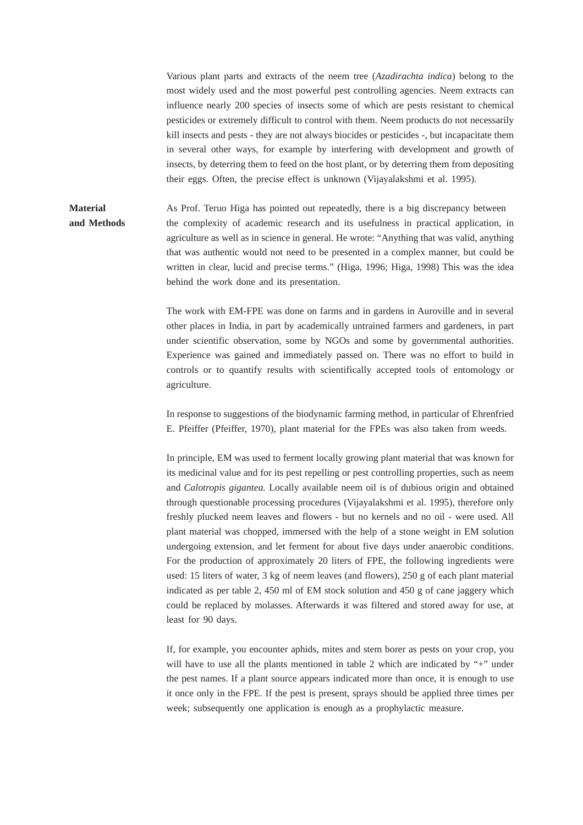Various plant parts and extracts of the neem tree (*Azadirachta indica*) belong to the most widely used and the most powerful pest controlling agencies. Neem extracts can influence nearly 200 species of insects some of which are pests resistant to chemical pesticides or extremely difficult to control with them. Neem products do not necessarily kill insects and pests - they are not always biocides or pesticides -, but incapacitate them in several other ways, for example by interfering with development and growth of insects, by deterring them to feed on the host plant, or by deterring them from depositing their eggs. Often, the precise effect is unknown (Vijayalakshmi et al. 1995).

**Material** As Prof. Teruo Higa has pointed out repeatedly, there is a big discrepancy between **and Methods** the complexity of academic research and its usefulness in practical application, in agriculture as well as in science in general. He wrote: "Anything that was valid, anything that was authentic would not need to be presented in a complex manner, but could be written in clear, lucid and precise terms." (Higa, 1996; Higa, 1998) This was the idea behind the work done and its presentation.

> The work with EM-FPE was done on farms and in gardens in Auroville and in several other places in India, in part by academically untrained farmers and gardeners, in part under scientific observation, some by NGOs and some by governmental authorities. Experience was gained and immediately passed on. There was no effort to build in controls or to quantify results with scientifically accepted tools of entomology or agriculture.

> In response to suggestions of the biodynamic farming method, in particular of Ehrenfried E. Pfeiffer (Pfeiffer, 1970), plant material for the FPEs was also taken from weeds.

> In principle, EM was used to ferment locally growing plant material that was known for its medicinal value and for its pest repelling or pest controlling properties, such as neem and *Calotropis gigantea.* Locally available neem oil is of dubious origin and obtained through questionable processing procedures (Vijayalakshmi et al. 1995), therefore only freshly plucked neem leaves and flowers - but no kernels and no oil - were used. All plant material was chopped, immersed with the help of a stone weight in EM solution undergoing extension, and let ferment for about five days under anaerobic conditions. For the production of approximately 20 liters of FPE, the following ingredients were used: 15 liters of water, 3 kg of neem leaves (and flowers), 250 g of each plant material indicated as per table 2, 450 ml of EM stock solution and 450 g of cane jaggery which could be replaced by molasses. Afterwards it was filtered and stored away for use, at least for 90 days.

> If, for example, you encounter aphids, mites and stem borer as pests on your crop, you will have to use all the plants mentioned in table 2 which are indicated by "+" under the pest names. If a plant source appears indicated more than once, it is enough to use it once only in the FPE. If the pest is present, sprays should be applied three times per week; subsequently one application is enough as a prophylactic measure.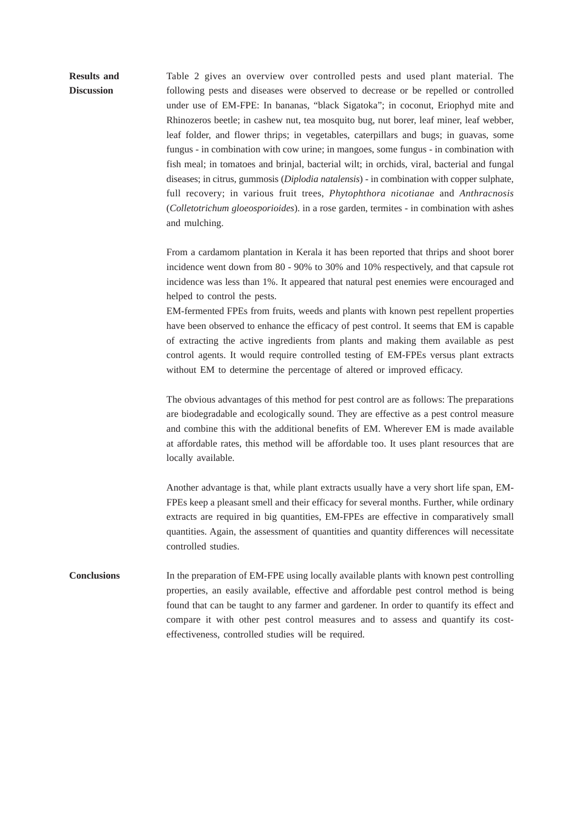**Results and** Table 2 gives an overview over controlled pests and used plant material. The **Discussion** following pests and diseases were observed to decrease or be repelled or controlled under use of EM-FPE: In bananas, "black Sigatoka"; in coconut, Eriophyd mite and Rhinozeros beetle; in cashew nut, tea mosquito bug, nut borer, leaf miner, leaf webber, leaf folder, and flower thrips; in vegetables, caterpillars and bugs; in guavas, some fungus - in combination with cow urine; in mangoes, some fungus - in combination with fish meal; in tomatoes and brinjal, bacterial wilt; in orchids, viral, bacterial and fungal diseases; in citrus, gummosis (*Diplodia natalensis*) - in combination with copper sulphate, full recovery; in various fruit trees, *Phytophthora nicotianae* and *Anthracnosis* (*Colletotrichum gloeosporioides*). in a rose garden, termites - in combination with ashes and mulching.

> From a cardamom plantation in Kerala it has been reported that thrips and shoot borer incidence went down from 80 - 90% to 30% and 10% respectively, and that capsule rot incidence was less than 1%. It appeared that natural pest enemies were encouraged and helped to control the pests.

> EM-fermented FPEs from fruits, weeds and plants with known pest repellent properties have been observed to enhance the efficacy of pest control. It seems that EM is capable of extracting the active ingredients from plants and making them available as pest control agents. It would require controlled testing of EM-FPEs versus plant extracts without EM to determine the percentage of altered or improved efficacy.

> The obvious advantages of this method for pest control are as follows: The preparations are biodegradable and ecologically sound. They are effective as a pest control measure and combine this with the additional benefits of EM. Wherever EM is made available at affordable rates, this method will be affordable too. It uses plant resources that are locally available.

> Another advantage is that, while plant extracts usually have a very short life span, EM-FPEs keep a pleasant smell and their efficacy for several months. Further, while ordinary extracts are required in big quantities, EM-FPEs are effective in comparatively small quantities. Again, the assessment of quantities and quantity differences will necessitate controlled studies.

**Conclusions** In the preparation of EM-FPE using locally available plants with known pest controlling properties, an easily available, effective and affordable pest control method is being found that can be taught to any farmer and gardener. In order to quantify its effect and compare it with other pest control measures and to assess and quantify its costeffectiveness, controlled studies will be required.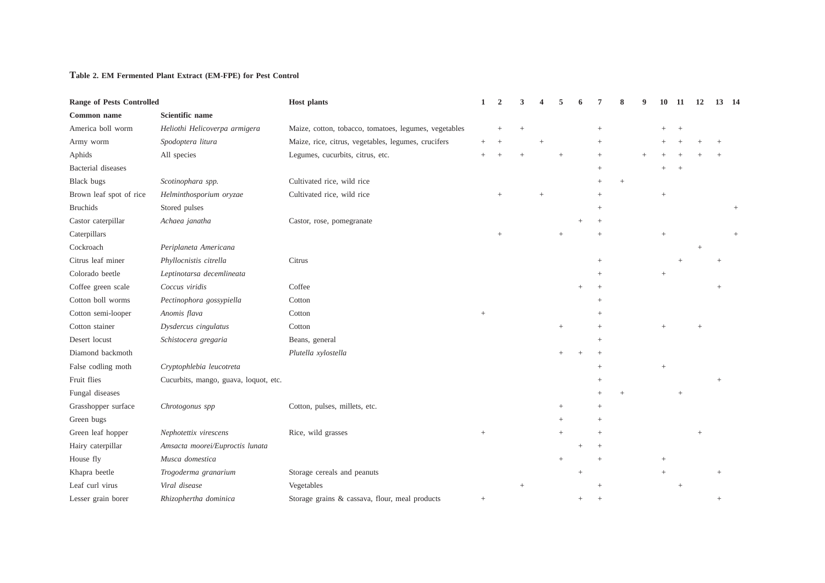## **Table 2. EM Fermented Plant Extract (EM-FPE) for Pest Control**

| <b>Range of Pests Controlled</b> |                                       | <b>Host plants</b>                                    |        | $\mathcal{D}_{\mathcal{L}}$ |  |        |           |        |                 | -11    | 12     | 13 14 |  |
|----------------------------------|---------------------------------------|-------------------------------------------------------|--------|-----------------------------|--|--------|-----------|--------|-----------------|--------|--------|-------|--|
| Common name                      | Scientific name                       |                                                       |        |                             |  |        |           |        |                 |        |        |       |  |
| America boll worm                | Heliothi Helicoverpa armigera         | Maize, cotton, tobacco, tomatoes, legumes, vegetables |        |                             |  |        |           |        |                 |        |        |       |  |
| Army worm                        | Spodoptera litura                     | Maize, rice, citrus, vegetables, legumes, crucifers   |        |                             |  |        | $^{+}$    |        |                 |        |        |       |  |
| Aphids                           | All species                           | Legumes, cucurbits, citrus, etc.                      |        |                             |  |        | $\ddot{}$ |        |                 |        |        |       |  |
| Bacterial diseases               |                                       |                                                       |        |                             |  |        |           |        |                 |        |        |       |  |
| <b>Black bugs</b>                | Scotinophara spp.                     | Cultivated rice, wild rice                            |        |                             |  |        | $^{+}$    | $^{+}$ |                 |        |        |       |  |
| Brown leaf spot of rice          | Helminthosporium oryzae               | Cultivated rice, wild rice                            |        |                             |  |        |           |        | $+$             |        |        |       |  |
| <b>Bruchids</b>                  | Stored pulses                         |                                                       |        |                             |  |        |           |        |                 |        |        |       |  |
| Castor caterpillar               | Achaea janatha                        | Castor, rose, pomegranate                             |        |                             |  |        |           |        |                 |        |        |       |  |
| Caterpillars                     |                                       |                                                       |        |                             |  |        |           |        |                 |        |        |       |  |
| Cockroach                        | Periplaneta Americana                 |                                                       |        |                             |  |        |           |        |                 |        |        |       |  |
| Citrus leaf miner                | Phyllocnistis citrella                | Citrus                                                |        |                             |  |        | $\ddot{}$ |        |                 |        |        |       |  |
| Colorado beetle                  | Leptinotarsa decemlineata             |                                                       |        |                             |  |        |           |        | $^{+}$          |        |        |       |  |
| Coffee green scale               | Coccus viridis                        | Coffee                                                |        |                             |  |        |           |        |                 |        |        |       |  |
| Cotton boll worms                | Pectinophora gossypiella              | Cotton                                                |        |                             |  |        |           |        |                 |        |        |       |  |
| Cotton semi-looper               | Anomis flava                          | Cotton                                                |        |                             |  |        |           |        |                 |        |        |       |  |
| Cotton stainer                   | Dysdercus cingulatus                  | Cotton                                                |        |                             |  | $^{+}$ |           |        |                 |        |        |       |  |
| Desert locust                    | Schistocera gregaria                  | Beans, general                                        |        |                             |  |        |           |        |                 |        |        |       |  |
| Diamond backmoth                 |                                       | Plutella xylostella                                   |        |                             |  |        | $+$       |        |                 |        |        |       |  |
| False codling moth               | Cryptophlebia leucotreta              |                                                       |        |                             |  |        | $^{+}$    |        | $\! + \!\!\!\!$ |        |        |       |  |
| Fruit flies                      | Cucurbits, mango, guava, loquot, etc. |                                                       |        |                             |  |        |           |        |                 |        |        |       |  |
| Fungal diseases                  |                                       |                                                       |        |                             |  |        |           |        |                 | $^{+}$ |        |       |  |
| Grasshopper surface              | Chrotogonus spp                       | Cotton, pulses, millets, etc.                         |        |                             |  |        |           |        |                 |        |        |       |  |
| Green bugs                       |                                       |                                                       |        |                             |  |        |           |        |                 |        |        |       |  |
| Green leaf hopper                | Nephotettix virescens                 | Rice, wild grasses                                    | $^{+}$ |                             |  |        |           |        |                 |        | $^{+}$ |       |  |
| Hairy caterpillar                | Amsacta moorei/Euproctis lunata       |                                                       |        |                             |  |        |           |        |                 |        |        |       |  |
| House fly                        | Musca domestica                       |                                                       |        |                             |  |        |           |        |                 |        |        |       |  |
| Khapra beetle                    | Trogoderma granarium                  | Storage cereals and peanuts                           |        |                             |  |        |           |        | $\ddot{}$       |        |        |       |  |
| Leaf curl virus                  | Viral disease                         | Vegetables                                            |        |                             |  |        |           |        |                 |        |        |       |  |
| Lesser grain borer               | Rhizophertha dominica                 | Storage grains & cassava, flour, meal products        |        |                             |  |        |           |        |                 |        |        |       |  |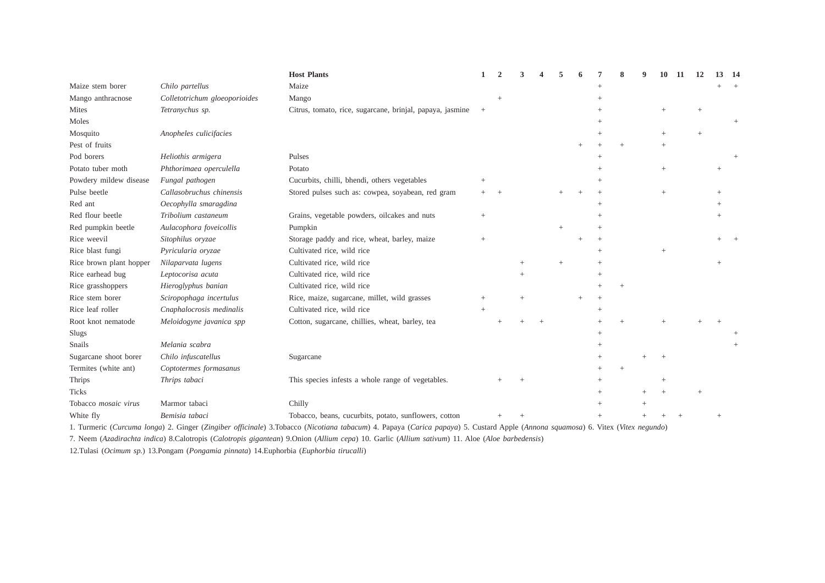|                             |                               | <b>Host Plants</b>                                        |        | 2 |  |  |        | 8 | 10              | 11 | 12 | 13 | -14 |
|-----------------------------|-------------------------------|-----------------------------------------------------------|--------|---|--|--|--------|---|-----------------|----|----|----|-----|
| Maize stem borer            | Chilo partellus               | Maize                                                     |        |   |  |  |        |   |                 |    |    |    |     |
| Mango anthracnose           | Colletotrichum gloeoporioides | Mango                                                     |        |   |  |  |        |   |                 |    |    |    |     |
| Mites                       | Tetranychus sp.               | Citrus, tomato, rice, sugarcane, brinjal, papaya, jasmine | $+$    |   |  |  |        |   |                 |    |    |    |     |
| Moles                       |                               |                                                           |        |   |  |  |        |   |                 |    |    |    |     |
| Mosquito                    | Anopheles culicifacies        |                                                           |        |   |  |  |        |   |                 |    |    |    |     |
| Pest of fruits              |                               |                                                           |        |   |  |  |        |   |                 |    |    |    |     |
| Pod borers                  | Heliothis armigera            | Pulses                                                    |        |   |  |  |        |   |                 |    |    |    |     |
| Potato tuber moth           | Phthorimaea operculella       | Potato                                                    |        |   |  |  |        |   |                 |    |    |    |     |
| Powdery mildew disease      | Fungal pathogen               | Cucurbits, chilli, bhendi, others vegetables              |        |   |  |  |        |   |                 |    |    |    |     |
| Pulse beetle                | Callasobruchus chinensis      | Stored pulses such as: cowpea, soyabean, red gram         | $^{+}$ |   |  |  |        |   |                 |    |    |    |     |
| Red ant                     | Oecophylla smaragdina         |                                                           |        |   |  |  |        |   |                 |    |    |    |     |
| Red flour beetle            | Tribolium castaneum           | Grains, vegetable powders, oilcakes and nuts              | $+$    |   |  |  |        |   |                 |    |    |    |     |
| Red pumpkin beetle          | Aulacophora foveicollis       | Pumpkin                                                   |        |   |  |  |        |   |                 |    |    |    |     |
| Rice weevil                 | Sitophilus oryzae             | Storage paddy and rice, wheat, barley, maize              | $^{+}$ |   |  |  |        |   |                 |    |    |    |     |
| Rice blast fungi            | Pyricularia oryzae            | Cultivated rice, wild rice                                |        |   |  |  |        |   | $\! + \!\!\!\!$ |    |    |    |     |
| Rice brown plant hopper     | Nilaparvata lugens            | Cultivated rice, wild rice                                |        |   |  |  |        |   |                 |    |    |    |     |
| Rice earhead bug            | Leptocorisa acuta             | Cultivated rice, wild rice                                |        |   |  |  |        |   |                 |    |    |    |     |
| Rice grasshoppers           | Hieroglyphus banian           | Cultivated rice, wild rice                                |        |   |  |  |        |   |                 |    |    |    |     |
| Rice stem borer             | Sciropophaga incertulus       | Rice, maize, sugarcane, millet, wild grasses              | $+$    |   |  |  | $^{+}$ |   |                 |    |    |    |     |
| Rice leaf roller            | Cnaphalocrosis medinalis      | Cultivated rice, wild rice                                | $+$    |   |  |  |        |   |                 |    |    |    |     |
| Root knot nematode          | Meloidogyne javanica spp      | Cotton, sugarcane, chillies, wheat, barley, tea           |        |   |  |  |        |   |                 |    |    |    |     |
| Slugs                       |                               |                                                           |        |   |  |  |        |   |                 |    |    |    |     |
| Snails                      | Melania scabra                |                                                           |        |   |  |  |        |   |                 |    |    |    |     |
| Sugarcane shoot borer       | Chilo infuscatellus           | Sugarcane                                                 |        |   |  |  |        |   |                 |    |    |    |     |
| Termites (white ant)        | Coptotermes formasanus        |                                                           |        |   |  |  |        |   |                 |    |    |    |     |
| Thrips                      | Thrips tabaci                 | This species infests a whole range of vegetables.         |        |   |  |  | $^{+}$ |   |                 |    |    |    |     |
| <b>Ticks</b>                |                               |                                                           |        |   |  |  |        |   |                 |    |    |    |     |
| Tobacco <i>mosaic</i> virus | Marmor tabaci                 | Chilly                                                    |        |   |  |  |        |   |                 |    |    |    |     |
| White fly                   | Bemisia tabaci                | Tobacco, beans, cucurbits, potato, sunflowers, cotton     |        |   |  |  | $^{+}$ |   |                 |    |    |    |     |

1. Turmeric (*Curcuma longa*) 2. Ginger (*Zingiber officinale*) 3.Tobacco (*Nicotiana tabacum*) 4. Papaya (*Carica papaya*) 5. Custard Apple (*Annona squamosa*) 6. Vitex ( *Vitex negundo*)

7. Neem (*Azadirachta indica*) 8.Calotropis (*Calotropis gigantean*) 9.Onion (*Allium cepa*) 10. Garlic (*Allium sativum*) 11. Aloe (*Aloe barbedensis*)

12.Tulasi (*Ocimum sp.*) 13.Pongam (*Pongamia pinnata*) 14.Euphorbia (*Euphorbia tirucalli*)